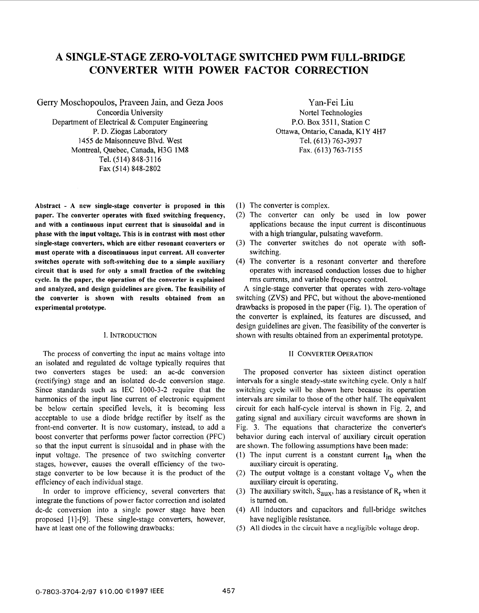# A SINGLE-STAGE ZERO-VOLTAGE SWITCHED PWM FULL-BRIDGE **CONVERTER WITH POWER FACTOR CORIRECTION**

Gerry Moschopoulos, Praveen Jain, and Geza Joos Concordia University Department of Electrical & Computer Engineering P. D. Ziogas Laboratory 1455 de Maisonneuve Blvd. West Montreal, Quebec, Canada, H3G 1M8 Tel. (514) 848-3116 Fax (514) 848-2802

**Abstract** - **A new single-stage converter is proposed in this paper. The converter operates with fixed switching frequency, and with a continuous input current that is sinusoidal and in phase with the input voltage. This is in contrast with most other single-stage converters, which are either resonant converters or must operate with a discontinuous input current. All converter switches operate with soft-switching due to a simple auxiliary circuit that is used for only a small fraction of the switching cycle. In the paper, the operation of the converter is explained and analyzed, and design guidelines are given. The feasibility of the converter is shown with results obtained from an experimental prototype.** 

### I. INTRODUCTION

The process of converting the input ac mains voltage into an isolated and regulated dc voltage typically requires that two converters stages be used: an ac-dc conversion (rectifying) stage and an isolated dc-dc conversion stage. Since standards such as IEC 1000-3-2 require that the harmonics of the input line current of electronic equipment be below certain specified levels, it is becoming less acceptable to use a diode bridge rectifier by itself as the front-end converter. It is now customary, instead, to add a boost converter that performs power factor correction (PFC) so that the input current is sinusoidal and in phase with the input voltage. The presence of two switching converter stages, however, causes the overall efficiency of the twostage converter to be low because it is the product of the efficiency of each individual stage.

In order to improve efficiency, several converters that integrate the functions of power factor correction and isolated dc-dc conversion into a single power stage have been proposed [ I]-[9]. These single-stage converters, however, have at least one of the following drawbacks:

Yan-Fei Liu Nortel Technologies P.O. Box 3511, Station C Ottawa, Ontario, Canada, **KIY** 4H7 Tel. (613) 763-3937 Fax. (613) 763-7155

- $(1)$  The converter is complex.
- (2) The converter can only be used in low power applications because the input current is discontinuous with a high triangular, pulsating waveform.
- (3) The converter switclhes do not operate with softswitching.
- (4) The converter is a resonant converter and therefore operates with increased conduction losses due to higher rms currents, and variable frequency control.

**A** single-stage converter that operates with zero-voltage switching (ZVS) and PFC, but without the above-mentioned drawbacks is proposed in the paper (Fig. 1). The operation of the converter is explained, its features are discussed, and design guidelines are given. The feasibility of the converter is shown with results obtained from an experimental prototype.

### **II CONVERTER OPERATION**

The proposed converter has sixteen distinct operation intervals for a single steady-state switching cycle. Only a half switching cycle will be shown here because its operation intervals are similar to those of the other half. The equivalent circuit for each half-cycle interval is shown in Fig. *2,* and gating signal and auxiliary circuit waveforms are shown in [Fig. 3.](#page-2-0) The equations that characterize the converter's behavior during each interval of auxiliary circuit operation are shown. The following assumptions have been made:

- (1) The input current is a constant current  $I_{in}$  when the auxiliary circuit is operating.
- (2) The output voltage is a constant voltage  $V_0$  when the auxiliary circuit is operating.
- (3) The auxiliary switch,  $S_{\text{aux}}$ , has a resistance of  $R_r$  when it is turned on.
- (4) **All** inductors and capacitors and full-bridge switches have negligible resistance.
- *(5)* All diodes in the circuit **have** a negligible **voltage** drop.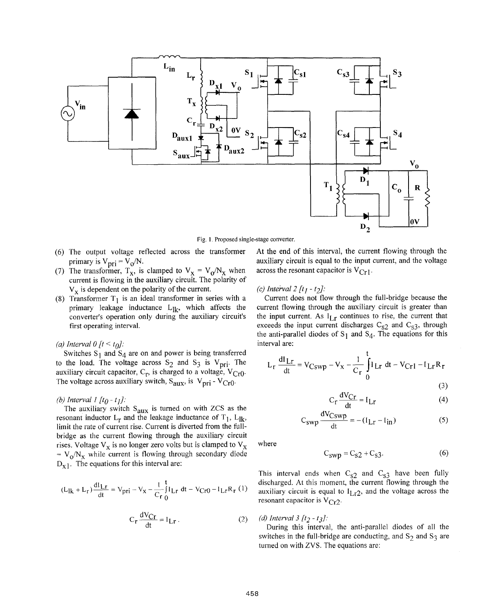

Fig. **1.** Proposed single-stage converter.

- (6) The output voltage reflected across the transformer primary is  $V_{\text{pri}} = V_0/N$ .
- (7) The transformer,  $T_x$ , is clamped to  $V_x = V_0/N_x$  when current is flowing in the auxiliary circuit. The polarity of  $V<sub>x</sub>$  is dependent on the polarity of the current.
- (8) Transformer  $T_1$  is an ideal transformer in series with a primary leakage inductance  $L_{lk}$ , which affects the converter's operation only during the auxiliary circuit's first operating interval.

### *(a) Interval 0 [t < t<sub>0</sub>]:*

Switches  $S_1$  and  $S_4$  are on and power is being transferred to the load. The voltage across  $S_2$  and  $S_3$  is  $V_{\text{pri}}$ . The auxiliary circuit capacitor,  $C_r$ , is charged to a voltage,  $V_{Cr0}$ . The voltage across auxiliary switch,  $S_{aux}$ , is  $V_{pri} - V_{Cr0}$ .

### *(b) Interval 1 [to* - *tr]:*

The auxiliary switch  $S_{\text{aux}}$  is turned on with ZCS as the resonant inductor  $L_r$  and the leakage inductance of  $T_1$ ,  $L_{\mathbf{R}}$ , limit the rate of current rise. Current is diverted from the fullbridge as the current flowing through the auxiliary circuit rises. Voltage  $V_x$  is no longer zero volts but is clamped to  $V_x$  $= V_0/N_x$  while current is flowing through secondary diode  $D_{x1}$ . The equations for this interval are:

$$
(L_{1k} + L_{r}) \frac{dI_{LT}}{dt} = V_{pri} - V_{x} - \frac{1}{C_{r}} \int_{0}^{t} I_{Lr} dt - V_{Cr0} - I_{Lr} R_{r} (1)
$$

$$
C_r \frac{dV_{Cr}}{dt} = I_{Lr}.
$$
 (2)

At the end of this interval, the current flowing through the auxiliary circuit is equal to the input current, and the voltage across the resonant capacitor is  $V_{Cr1}$ .

### *(c) Inteival2 [tl* - *t2]:*

Current does not flow through the full-bridge because the current flowing through the auxiliary circuit is greater than the input current. As  $I_{I,r}$  continues to rise, the current that exceeds the input current discharges  $C_{S2}$  and  $C_{S3}$ , through the anti-parallel diodes of  $S_1$  and  $S_4$ . The equations for this interval are:

$$
L_r \frac{dI_{Lr}}{dt} = V_{Cswp} - V_x - \frac{1}{C_r} \int_0^t I_{Lr} dt - V_{Cr1} - I_{Lr}R_r
$$

 $AY_{\alpha}$ 

$$
(3) \quad
$$

$$
C_r \frac{dV}{dt} = I_{Lr}
$$
 (4)

$$
C_{SWp} \frac{dV_{CSWp}}{dt} = -(I_{Lr} - I_{in})
$$
 (5)

where

$$
C_{swp} = C_{s2} + C_{s3}.
$$
 (6)

This interval ends when  $C_{s2}$  and  $C_{s3}$  have been fully discharged. At this moment, the current flowing through the auxiliary circuit is equal to  $I<sub>Lr2</sub>$ , and the voltage across the resonant capacitor is  $V_{Cr2}$ .

(*d*) Interval 3 [t<sub>2</sub> - t<sub>3</sub>]:

During this interval, the anti-parallel diodes of all the switches in the full-bridge are conducting, and  $S_2$  and  $S_3$  are tumed on with ZVS. The equations are: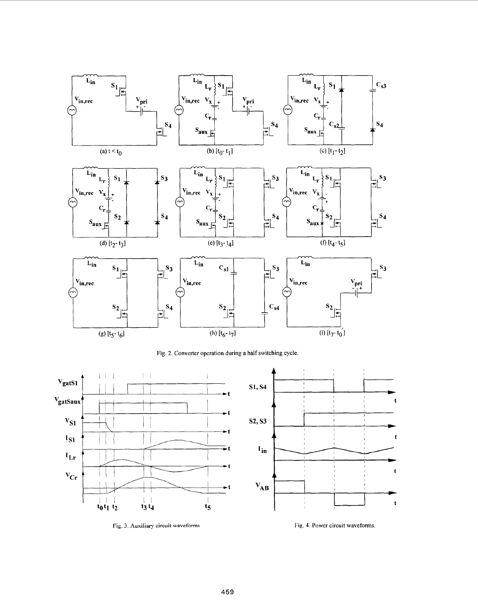<span id="page-2-0"></span>

**Fig.** 2. Converter operation during a half switching cycle



Fig. 3. Auxiliary circuit waveforms **Fig. 3.** Auxiliary circuit waveforms.

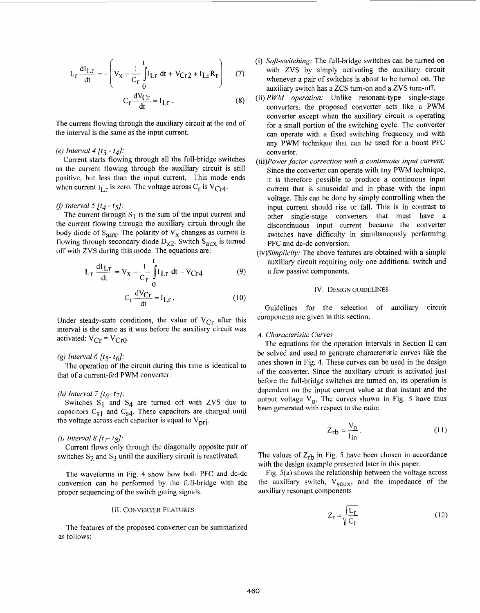$$
L_{r} \frac{dI_{Lr}}{dt} = -\left(V_{x} + \frac{1}{C_{r}} \int_{0}^{t} I_{Lr} dt + V_{Cr2} + I_{Lr} R_{r}\right)
$$
 (7)  

$$
C_{r} \frac{dV_{Cr}}{dt} = I_{Lr}.
$$
 (8)

The current flowing through the auxiliary circuit at the end of the interval is the same as the input current.

### *(e) Interval 4 [t3* - *t4]:*

Current starts flowing through all the full-bridge switches as the current flowing through the auxiliary circuit is still positive, but less than the input current. This mode ends when current  $I_{I,r}$  is zero. The voltage across  $C_r$  is  $V_{Cr4}$ .

### fl *Interval 5 [t4* - *t~]:*

The current through  $S_1$  is the sum of the input current and the current flowing through the auxiliary circuit through the body diode of  $S_{\text{aux}}$ . The polarity of  $V_x$  changes as current is flowing through secondary diode  $D_{X2}$ . Switch  $S_{\text{aux}}$  is turned off with ZVS during this mode. The equations are:

$$
L_r \frac{dI_{Lr}}{dt} = V_x - \frac{1}{C_r} \int_{0}^{t} I_{Lr} dt - V_{Cr4}
$$
 (9)

$$
C_r \frac{dV_{Cr}}{dt} = I_{Lr}.
$$
 (10)

Under steady-state conditions, the value of  $V_{Cr}$  after this components are given in this section. interval is the same as it was before the auxiliary circuit was activated:  $V_{Cr} = V_{Cr0}$ .

### **(g)** *Interval 6 [t5- tgl:*

that of a current-fed PWM converter. The operation of the circuit during this time is identical to

### *(h) Interval* 7 *[t6- t7J:*

Switches  $S_1$  and  $S_4$  are turned off with ZVS due to capacitors  $C_{S1}$  and  $C_{S4}$ . These capacitors are charged until the voltage across each capacitor is equal to  $V_{\text{pri}}$ .

### *(i) Interval*  $8/t_{7}$ -*tg]*:

switches  $S_2$  and  $S_3$  until the auxiliary circuit is reactivated. Current flows only through the diagonally opposite pair of

The waveforms in Fig. 4 show how both PFC and dc-dc conversion can be performed by the full-bridge with the proper sequencing of the switch gating signals.

### 111. CONVERTER FEATURES

The features of the proposed converter can be summarized as follows:

- (i) *Soft-switching:* The full-bridge switches can be turned on with ZVS by simply activating the auxiliary circuit whenever a pair of switches is about to be turned on. The auxiliary switch has a ZCS turn-on and a ZVS tum-off.
- (ii) *PWM* operation: Unlike resonant-type single-stage converters, the proposed converter acts like a PWM converter except when the auxiliary circuit is operating for a small portion of the switching cycle. The converter can operate with a fixed switching frequency and with any PWM technique that can be used for a boost PFC converter.
- (iii)Power *factor correction with a continuous input current:*  Since the converter can operate with any PWM technique, it is therefore possible to produce a continuous input current that is sinusoidal and in phase with the input voltage. This can be done by simply controlling when the input current should rise or fall. This is in contrast to other single-stage converters that must have a discontinuous input current because the converter switches have difficulty in simultaneously performing PFC and dc-dc conversion.
- (iv)Simplicity: The above features are obtained with a simple auxiliary circuit requiring only one additional switch and a few passive components.

Guidelines for the selection of auxiliary circuit

### *A. Characterisitc Curves*

 $\mathcal{L}_{\text{max}}$ 

The equations for the operation intervals in Section I1 can be solved and used to generate characteristic curves like the ones shown in Fig. 4. These curves can be used in the design of the converter. Since the auxiliary circuit is activated just before the full-bridge switches are turned on, its operation is dependent on the input current value at that instant and the output voltage  $V_0$ . The curves shown in [Fig.](#page-4-0) 5 have thus been generated with respect to the ratio:

$$
Z_{rb} = \frac{V_0}{I_{in}}.
$$
 (11)

The values of  $Z_{rb}$  in [Fig.](#page-4-0) 5 have been chosen in accordance with the design example presented later in this paper.

Fig. 5(a) shows the relationship between the voltage across the auxiliary switch,  $V_{saux}$ , and the impedance of the auxiliary resonant components

$$
Z_{r} = \sqrt{\frac{L_{r}}{C_{r}}}
$$
 (12)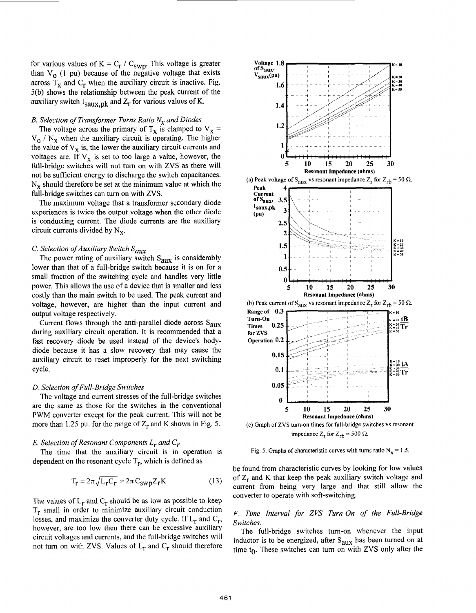<span id="page-4-0"></span>for various values of  $K = C_r / C_{swp}$ . This voltage is greater than  $V_0$  (1 pu) because of the negative voltage that exists across  $T_x$  and  $C_r$  when the auxiliary circuit is inactive. Fig. 5(b) shows the relationship between the peak current of the auxiliary switch  $I_{saux,pk}$  and  $Z_r$  for various values of K.

## *B. Selection of Transformer Turns Ratio N, and Diodes*

The voltage across the primary of  $T_x$  is clamped to  $V_x$  =  $V_{\rm o}$  /  $N_{\rm x}$  when the auxiliary circuit is operating. The higher the value of  $V_x$  is, the lower the auxiliary circuit currents and voltages are. If  $V_x$  is set to too large a value, however, the full-bridge switches will not turn on with ZVS **as** there will not be sufficient energy to discharge the switch capacitances.  $N_x$  should therefore be set at the minimum value at which the full-bridge switches can **turn** on with ZVS.

The maximum voltage that a transformer secondary diode experiences is twice the output voltage when the other diode is conducting current. The diode currents are the auxiliary circuit currents divided by  $N_x$ .

# *C. Selection of Auxiliary Switch Saux*

The power rating of auxiliary switch  $S_{\text{aux}}$  is considerably lower than that of a full-bridge switch because it is on for a small fraction of the switching cycle and handles very little power. This allows the use of a device that is smaller and less costly than the main switch to be used. The peak current and voltage, however, are higher than the input current and output voltage respectively.

Current flows through the anti-parallel diode across  $S_{\text{aux}}$ during auxiliary circuit operation. It is recommended that a fast recovery diode be used instead of the device's bodydiode because it has a slow recovery that may cause the auxiliary circuit to reset improperly for the next switching cycle.

### *D. Selection of Full-Bridge Switches*

The voltage and current stresses of the full-bridge switches are the same as those for the switches in the conventional PWM converter except for the peak current. This will not be more than 1.25 pu. for the range of  $Z_r$  and K shown in Fig. 5.

### *E. Selection of Resonant Components L, and C,*

dependent on the resonant cycle  $T_r$ , which is defined as The time that the auxiliary circuit is in operation is

$$
T_{\mathbf{r}} = 2\pi \sqrt{L_{\mathbf{r}}C_{\mathbf{r}}} = 2\pi C_{\text{swp}} Z_{\mathbf{r}} \mathbf{K}
$$
 (13)

The values of  $L_r$  and  $C_r$  should be as low as possible to keep  $T_r$  small in order to minimize auxiliary circuit conduction losses, and maximize the converter duty cycle. If  $L_r$  and  $C_r$ , however, are too low then there can be excessive auxiliary circuit voltages and currents, and the full-bridge switches will not turn on with ZVS. Values of  $L_r$  and  $C_r$  should therefore





(c) Graph of ZVS turn-on times for full-bridge switches vs resonant impedance  $Z_r$  for  $Z_{rb} = 500 \Omega$ .

Fig. 5. Graphs of characteristic curves with turns ratio  $N_x = 1.5$ .

be found from characteristic curves by looking for low values of  $Z_r$  and K that keep the peak auxiliary switch voltage and current from being very large and that still allow the converter to operate with soft-switching.

*F. Time Interval for ZVS Turn-On of the Full-Bridge Switches.* 

The full-bridge switches turn-on whenever the input inductor is to be energized, after  $S_{aux}$  has been turned on at time  $t_0$ . These switches can turn on with ZVS only after the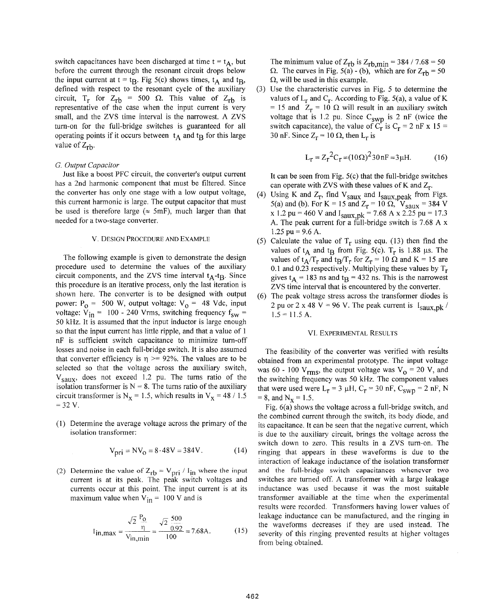switch capacitances have been discharged at time  $t = t_A$ , but before the current through the resonant circuit drops below the input current at  $t = t_B$ . Fig 5(c) shows times,  $t_A$  and  $t_B$ , defined with respect to the resonant cycle of the auxiliary circuit, T<sub>r</sub> for Z<sub>rb</sub> = 500  $\Omega$ . This value of Z<sub>rb</sub> is representative of the case when the input current is very small, and the ZVS time interval is the narrowest. A ZVS turn-on for the full-bridge switches is guaranteed for all operating points if it occurs between  $t_A$  and  $t_B$  for this large value of  $Z_{rh}$ .

### *G. Output Capacitor*

Just like a boost PFC circuit, the converter's output current has a 2nd harmonic component that must be filtered. Since the converter has only one stage with a low output voltage, this current harmonic is large. The output capacitor that must be used is therefore large ( $\approx$  5mF), much larger than that needed for a two-stage converter.

### v. DESIGN PROCEDURE AND EXAMPLE

The following example is given to demonstrate the design procedure used to determine the values of the auxiliary circuit components, and the ZVS time interval  $t_A-t_B$ . Since this procedure is an iterative process, only the last iteration is shown here. The converter is to be designed with output power:  $P_0 = 500$  W, output voltage:  $V_0 = 48$  Vdc, input voltage:  $V_{in}$  = 100 - 240 Vrms, switching frequency f<sub>sw</sub> = 50 kHz. It is assumed that the input inductor is large enough so that the input current has little ripple, and that a value of 1 nF is sufficient switch capacitance to minimize turn-off losses and noise in each full-bridge switch. It is also assumed that converter efficiency is  $\eta$  > 92%. The values are to be selected so that the voltage across the auxiliary switch, V<sub>Saux</sub>, does not exceed 1.2 pu. The turns ratio of the isolation transformer is  $N = 8$ . The turns ratio of the auxiliary circuit transformer is  $N_x = 1.5$ , which results in  $V_x = 48 / 1.5$  $= 32 V.$ 

(1) Determine the average voltage across the primary of the isolation transformer:

$$
V_{\text{pri}} = NV_0 = 8.48V = 384V. \tag{14}
$$

(2) Determine the value of  $Z_{rb} = V_{pri} / I_{in}$  where the input current is at its peak. The peak switch voltages and currents occur at this point. The input current is at its maximum value when  $V_{in} = 100$  V and is

$$
I_{\text{in,max}} = \frac{\sqrt{2}}{V_{\text{in,min}}} = \frac{\sqrt{2}}{0.92} = 7.68 \text{A}.
$$
 (15)

The minimum value of  $Z_{rb}$  is  $Z_{rb,min}$  = 384 / 7.68 = 50  $\Omega$ . The curves in Fig. 5(a) - (b), which are for  $Z_{rb} = 50$ **Q,** will be used in this example.

(3) Use the characteristic curves in [Fig. 5](#page-4-0) to determine the values of  $L_r$  and  $C_r$ . According to Fig. 5(a), a value of K = 15 and  $Z_r = 10 \Omega$  will result in an auxiliary switch voltage that is 1.2 pu. Since  $C_{swp}$  is 2 nF (twice the switch capacitance), the value of  $C_r^*$  is  $C_r = 2$  nF x 15 = 30 nF. Since  $Z_r = 10 \Omega$ , then  $L_r$  is

$$
L_{r} = Z_{r}^{2}C_{r} = (10\Omega)^{2}30\,\text{nF} = 3\,\mu\text{H}.\tag{16}
$$

It can be seen from Fig.  $5(c)$  that the full-bridge switches can operate with ZVS with these values of K and  $Z_r$ .

- (4) Using K and  $Z_r$ , find  $V_{saux}$  and  $I_{saux}$  neak from Figs. 5(a) and (b). For K = 15 and  $Z_r = 10 \Omega$ ,  $V_{saux} = 384 V$ **x** 1.2 pu = 460 v and Isaux,pk = 7.68 **A** x 2.25 pu = 17.3 A. The peak current for a full-bridge switch is 7.68 A  $x$ 1.25 pu = 9.6 **A.**
- (5) Calculate the value of  $T_r$  using equ. (13) then find the values of  $t_A$  and  $t_B$  from Fig. 5(c).  $T_r$  is 1.88 µs. The values of  $t_A/T_r$  and  $t_B/T_r$  for  $Z_r = 10 \Omega$  and K = 15 are 0.1 and 0.23 respectively. Multiplying these values by  $T_r$ gives  $t_A = 183$  ns and  $t_B = 432$  ns. This is the narrowest ZVS time interval that is encountered by the converter.
- (6) The peak voltage stress across the transformer diodes is 2 pu or 2 x 48 V = 96 V. The peak current is  $I_{\text{Saux},\text{pk}}$  /  $1.5 = 11.5$  A.

### VI. EXPERIMENTAL RESULTS

The feasibility of the converter was verified with results obtained from an experimental prototype. The input voltage was 60 - 100  $V_{rms}$ , the output voltage was  $V_0 = 20 V$ , and the switching frequency was 50 kHz. The component values that were used were  $L_r = 3 \mu H$ ,  $C_r = 30 \text{ nF}$ ,  $C_{swp} = 2 \text{ nF}$ , N  $= 8$ , and  $N_x = 1.5$ .

Fig. 6(a) shows the voltage across a full-bridge switch, and the combined current through the switch, its body diode, and its capacitance. It can be seen that the negative current, which is due to the auxiliary circuit, brings the voltage across the switch down to zero. This results in a ZVS turn-on. The ringing that appears in these waveforms is due to the interaction of leakage inductance of the isolation transformer and the full-bridge switch capacitances whenever **two**  switches are turned off. A transformer with a large leakage inductance was used because it was the most suitable transformer availiable at the time when the experimental results were recorded. Transformers having lower values of leakage inductance can be manufactured, and the ringing in the waveforms decreases if they are used instead. The severity of this ringing prevented results at higher voltages from being obtained.